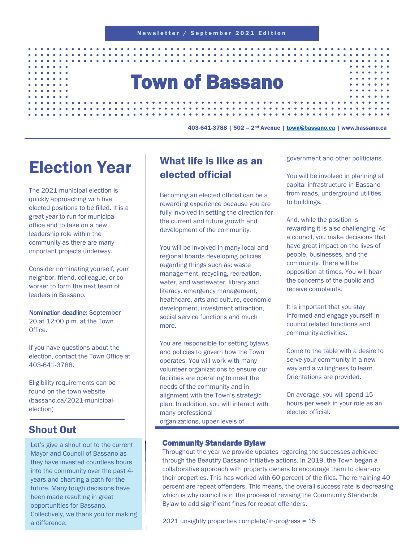# Town of Bassano

403-641-3788 | 502 – 2nd Avenue | [town@bassano.ca](mailto:town@bassano.ca) | www.bassano.ca

# Election Year

The 2021 municipal election is quickly approaching with five elected positions to be filled. It is a great year to run for municipal office and to take on a new leadership role within the community as there are many important projects underway.

Consider nominating yourself, your neighbor, friend, colleague, or coworker to form the next team of leaders in Bassano.

Nomination deadline: September 20 at 12:00 p.m. at the Town **Office** 

If you have questions about the election, contact the Town Office at 403-641-3788.

Eligibility requirements can be found on the town website (bassano.ca/2021-municipalelection)

# Shout Out

Let's give a shout out to the current Mayor and Council of Bassano as they have invested countless hours into the community over the past 4 years and charting a path for the future. Many tough decisions have been made resulting in great opportunities for Bassano. Collectively, we thank you for making a difference.

# What life is like as an elected official

Becoming an elected official can be a rewarding experience because you are fully involved in setting the direction for the current and future growth and development of the community.

You will be involved in many local and regional boards developing policies regarding things such as: waste management, recycling, recreation, water, and wastewater, library and literacy, emergency management, healthcare, arts and culture, economic development, investment attraction, social service functions and much more.

You are responsible for setting bylaws and policies to govern how the Town operates. You will work with many volunteer organizations to ensure our facilities are operating to meet the needs of the community and in alignment with the Town's strategic plan. In addition, you will interact with many professional organizations, upper levels of

government and other politicians.

You will be involved in planning all capital infrastructure in Bassano from roads, underground utilities. to buildings.

And, while the position is rewarding it is also challenging. As a council, you make decisions that have great impact on the lives of people, businesses, and the community. There will be opposition at times. You will hear the concerns of the public and receive complaints.

It is important that you stay informed and engage yourself in council related functions and community activities.

Come to the table with a desire to serve your community in a new way and a willingness to learn. Orientations are provided.

On average, you will spend 15 hours per week in your role as an elected official.

#### Community Standards Bylaw

Throughout the year we provide updates regarding the successes achieved through the Beautify Bassano Initiative actions. In 2019, the Town began a collaborative approach with property owners to encourage them to clean-up their properties. This has worked with 60 percent of the files. The remaining 40 percent are repeat offenders. This means, the overall success rate is decreasing which is why council is in the process of revising the Community Standards Bylaw to add significant fines for repeat offenders.

2021 unsightly properties complete/in-progress = 15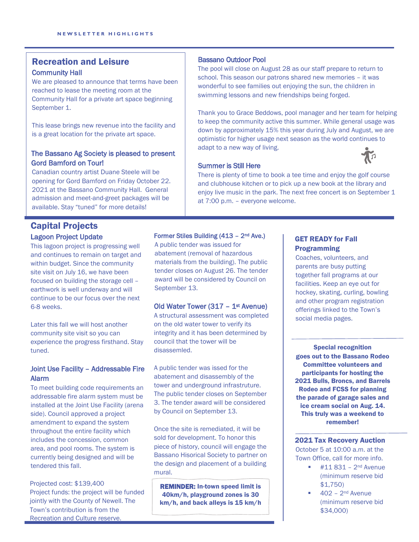### Recreation and Leisure Community Hall

We are pleased to announce that terms have been reached to lease the meeting room at the Community Hall for a private art space beginning September 1.

This lease brings new revenue into the facility and is a great location for the private art space.

#### The Bassano Ag Society is pleased to present Gord Bamford on Tour!

Canadian country artist Duane Steele will be opening for Gord Bamford on Friday October 22. 2021 at the Bassano Community Hall. General admission and meet-and-greet packages will be available. Stay "tuned" for more details!

#### Capital Projects Lagoon Project Update

This lagoon project is progressing well and continues to remain on target and within budget. Since the community site visit on July 16, we have been focused on building the storage cell – earthwork is well underway and will continue to be our focus over the next 6-8 weeks.

Later this fall we will host another community site visit so you can experience the progress firsthand. Stay tuned.

#### Joint Use Facility – Addressable Fire Alarm

To meet building code requirements an addressable fire alarm system must be installed at the Joint Use Facility (arena side). Council approved a project amendment to expand the system throughout the entire facility which includes the concession, common area, and pool rooms. The system is currently being designed and will be tendered this fall.

Projected cost: \$139,400 Project funds: the project will be funded jointly with the County of Newell. The Town's contribution is from the Recreation and Culture reserve.

#### Bassano Outdoor Pool

The pool will close on August 28 as our staff prepare to return to school. This season our patrons shared new memories – it was wonderful to see families out enjoying the sun, the children in swimming lessons and new friendships being forged.

Thank you to Grace Beddows, pool manager and her team for helping to keep the community active this summer. While general usage was down by approximately 15% this year during July and August, we are optimistic for higher usage next season as the world continues to adapt to a new way of living.

#### Summer is Still Here

There is plenty of time to book a tee time and enjoy the golf course and clubhouse kitchen or to pick up a new book at the library and enjoy live music in the park. The next free concert is on September 1 at 7:00 p.m. – everyone welcome.

#### Former Stiles Building (413 – 2nd Ave.)

A public tender was issued for abatement (removal of hazardous materials from the building). The public tender closes on August 26. The tender award will be considered by Council on September 13.

#### Old Water Tower (317 – 1st Avenue)

A structural assessment was completed on the old water tower to verify its integrity and it has been determined by council that the tower will be disassemled.

A public tender was issed for the abatement and disassembly of the tower and underground infrastruture. The public tender closes on September 3. The tender award will be considered by Council on September 13.

Once the site is remediated, it will be sold for development. To honor this piece of history, council will engage the Bassano Hisorical Society to partner on the design and placement of a building mural.

REMINDER: In-town speed limit is 40km/h, playground zones is 30 km/h, and back alleys is 15 km/h

#### GET READY for Fall Programming

Coaches, volunteers, and parents are busy putting together fall programs at our facilities. Keep an eye out for hockey, skating, curling, bowling and other program registration offerings linked to the Town's social media pages.

Special recognition goes out to the Bassano Rodeo Committee volunteers and participants for hosting the 2021 Bulls, Broncs, and Barrels Rodeo and FCSS for planning the parade of garage sales and ice cream social on Aug. 14. This truly was a weekend to remember!

2021 Tax Recovery Auction October 5 at 10:00 a.m. at the Town Office, call for more info.

- $\blacksquare$  #11 831 2<sup>nd</sup> Avenue (minimum reserve bid \$1,750)
- $\blacksquare$  402 2<sup>nd</sup> Avenue (minimum reserve bid \$34,000)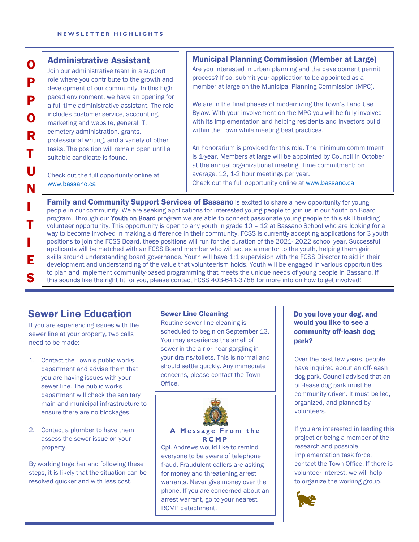#### Administrative Assistant

Join our administrative team in a support role where you contribute to the growth and development of our community. In this high paced environment, we have an opening for a full-time administrative assistant. The role includes customer service, accounting, marketing and website, general IT, cemetery administration, grants, professional writing, and a variety of other tasks. The position will remain open until a suitable candidate is found.

Check out the full opportunity online at [www.bassano.ca](http://www.bassano.ca/) 

#### Municipal Planning Commission (Member at Large)

Are you interested in urban planning and the development permit process? If so, submit your application to be appointed as a member at large on the Municipal Planning Commission (MPC).

We are in the final phases of modernizing the Town's Land Use Bylaw. With your involvement on the MPC you will be fully involved with its implementation and helping residents and investors build within the Town while meeting best practices.

An honorarium is provided for this role. The minimum commitment is 1-year. Members at large will be appointed by Council in October at the annual organizational meeting. Time commitment: on average, 12, 1-2 hour meetings per year. Check out the full opportunity online at [www.bassano.ca](http://www.bassano.ca/) 

**Family and Community Support Services of Bassano** is excited to share a new opportunity for young people in our community. We are seeking applications for interested young people to join us in our Youth on Board program. Through our Youth on Board program we are able to connect passionate young people to this skill building volunteer opportunity. This opportunity is open to any youth in grade 10 – 12 at Bassano School who are looking for a way to become involved in making a difference in their community. FCSS is currently accepting applications for 3 youth positions to join the FCSS Board, these positions will run for the duration of the 2021- 2022 school year. Successful applicants will be matched with an FCSS Board member who will act as a mentor to the youth, helping them gain skills around understanding board governance. Youth will have 1:1 supervision with the FCSS Director to aid in their development and understanding of the value that volunteerism holds. Youth will be engaged in various opportunities to plan and implement community-based programming that meets the unique needs of young people in Bassano. If this sounds like the right fit for you, please contact FCSS 403-641-3788 for more info on how to get involved!

# Sewer Line Education

 $\overline{a}$ 

I

N

O

P

P

O

R

T

U

T

E

S

I

If you are experiencing issues with the sewer line at your property, two calls need to be made:

- 1. Contact the Town's public works department and advise them that you are having issues with your sewer line. The public works department will check the sanitary main and municipal infrastructure to ensure there are no blockages.
- 2. Contact a plumber to have them assess the sewer issue on your property.

By working together and following these steps, it is likely that the situation can be resolved quicker and with less cost.

#### Sewer Line Cleaning

Routine sewer line cleaning is scheduled to begin on September 13. You may experience the smell of sewer in the air or hear gargling in your drains/toilets. This is normal and should settle quickly. Any immediate concerns, please contact the Town Office.



**A M essage From t h e RCMP**

Cpl. Andrews would like to remind everyone to be aware of telephone fraud. Fraudulent callers are asking for money and threatening arrest warrants. Never give money over the phone. If you are concerned about an arrest warrant, go to your nearest RCMP detachment.

#### Do you love your dog, and would you like to see a community off-leash dog park?

Over the past few years, people have inquired about an off-leash dog park. Council advised that an off-lease dog park must be community driven. It must be led, organized, and planned by volunteers.

If you are interested in leading this project or being a member of the research and possible implementation task force, contact the Town Office. If there is volunteer interest, we will help to organize the working group.